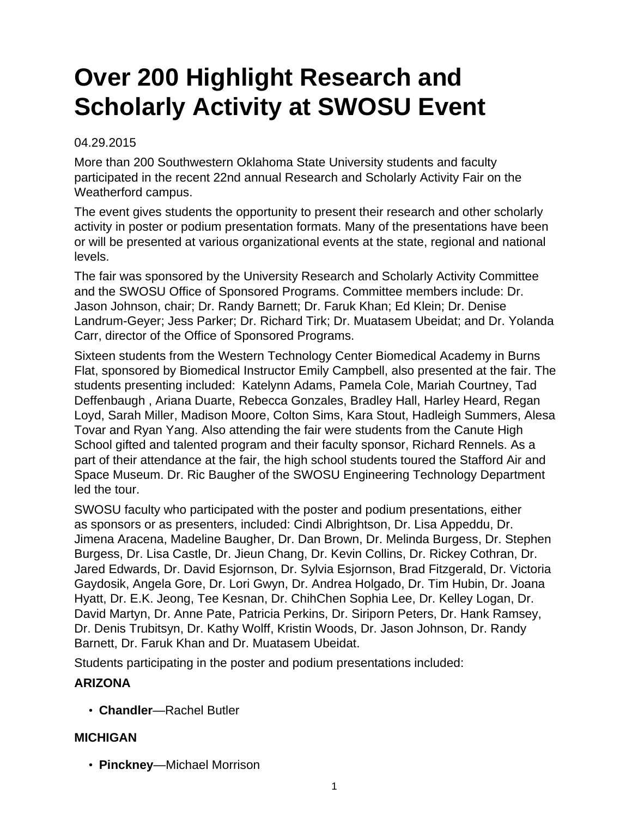# **Over 200 Highlight Research and Scholarly Activity at SWOSU Event**

#### 04.29.2015

More than 200 Southwestern Oklahoma State University students and faculty participated in the recent 22nd annual Research and Scholarly Activity Fair on the Weatherford campus.

The event gives students the opportunity to present their research and other scholarly activity in poster or podium presentation formats. Many of the presentations have been or will be presented at various organizational events at the state, regional and national levels.

The fair was sponsored by the University Research and Scholarly Activity Committee and the SWOSU Office of Sponsored Programs. Committee members include: Dr. Jason Johnson, chair; Dr. Randy Barnett; Dr. Faruk Khan; Ed Klein; Dr. Denise Landrum-Geyer; Jess Parker; Dr. Richard Tirk; Dr. Muatasem Ubeidat; and Dr. Yolanda Carr, director of the Office of Sponsored Programs.

Sixteen students from the Western Technology Center Biomedical Academy in Burns Flat, sponsored by Biomedical Instructor Emily Campbell, also presented at the fair. The students presenting included: Katelynn Adams, Pamela Cole, Mariah Courtney, Tad Deffenbaugh , Ariana Duarte, Rebecca Gonzales, Bradley Hall, Harley Heard, Regan Loyd, Sarah Miller, Madison Moore, Colton Sims, Kara Stout, Hadleigh Summers, Alesa Tovar and Ryan Yang. Also attending the fair were students from the Canute High School gifted and talented program and their faculty sponsor, Richard Rennels. As a part of their attendance at the fair, the high school students toured the Stafford Air and Space Museum. Dr. Ric Baugher of the SWOSU Engineering Technology Department led the tour.

SWOSU faculty who participated with the poster and podium presentations, either as sponsors or as presenters, included: Cindi Albrightson, Dr. Lisa Appeddu, Dr. Jimena Aracena, Madeline Baugher, Dr. Dan Brown, Dr. Melinda Burgess, Dr. Stephen Burgess, Dr. Lisa Castle, Dr. Jieun Chang, Dr. Kevin Collins, Dr. Rickey Cothran, Dr. Jared Edwards, Dr. David Esjornson, Dr. Sylvia Esjornson, Brad Fitzgerald, Dr. Victoria Gaydosik, Angela Gore, Dr. Lori Gwyn, Dr. Andrea Holgado, Dr. Tim Hubin, Dr. Joana Hyatt, Dr. E.K. Jeong, Tee Kesnan, Dr. ChihChen Sophia Lee, Dr. Kelley Logan, Dr. David Martyn, Dr. Anne Pate, Patricia Perkins, Dr. Siriporn Peters, Dr. Hank Ramsey, Dr. Denis Trubitsyn, Dr. Kathy Wolff, Kristin Woods, Dr. Jason Johnson, Dr. Randy Barnett, Dr. Faruk Khan and Dr. Muatasem Ubeidat.

Students participating in the poster and podium presentations included:

# **ARIZONA**

• **Chandler**—Rachel Butler

# **MICHIGAN**

• **Pinckney**—Michael Morrison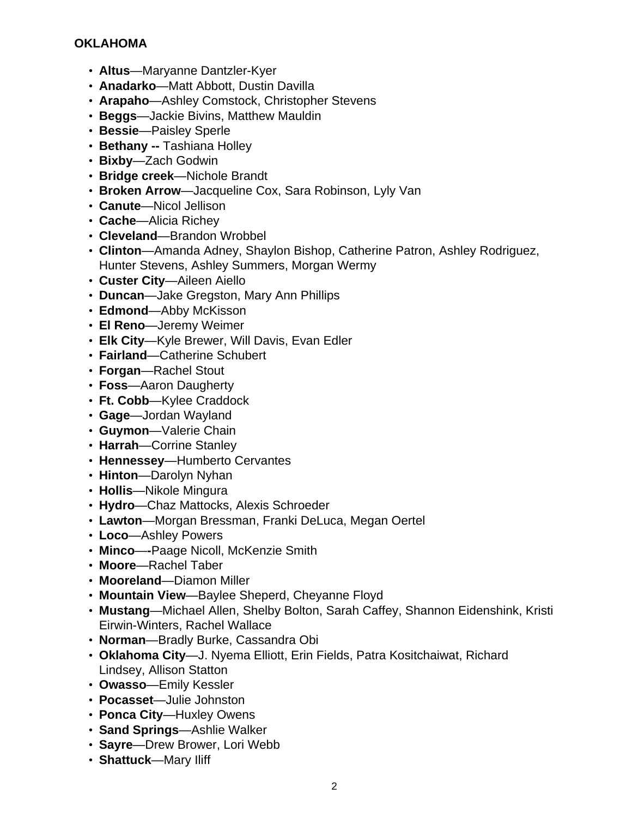#### **OKLAHOMA**

- **Altus**—Maryanne Dantzler-Kyer
- **Anadarko**—Matt Abbott, Dustin Davilla
- **Arapaho**—Ashley Comstock, Christopher Stevens
- **Beggs**—Jackie Bivins, Matthew Mauldin
- **Bessie**—Paisley Sperle
- **Bethany --** Tashiana Holley
- **Bixby**—Zach Godwin
- **Bridge creek**—Nichole Brandt
- **Broken Arrow**—Jacqueline Cox, Sara Robinson, Lyly Van
- **Canute**—Nicol Jellison
- **Cache**—Alicia Richey
- **Cleveland**—Brandon Wrobbel
- **Clinton**—Amanda Adney, Shaylon Bishop, Catherine Patron, Ashley Rodriguez, Hunter Stevens, Ashley Summers, Morgan Wermy
- **Custer City**—Aileen Aiello
- **Duncan**—Jake Gregston, Mary Ann Phillips
- **Edmond**—Abby McKisson
- **El Reno**—Jeremy Weimer
- **Elk City**—Kyle Brewer, Will Davis, Evan Edler
- **Fairland**—Catherine Schubert
- **Forgan**—Rachel Stout
- **Foss**—Aaron Daugherty
- **Ft. Cobb**—Kylee Craddock
- **Gage**—Jordan Wayland
- **Guymon**—Valerie Chain
- **Harrah**—Corrine Stanley
- **Hennessey**—Humberto Cervantes
- **Hinton**—Darolyn Nyhan
- **Hollis**—Nikole Mingura
- **Hydro**—Chaz Mattocks, Alexis Schroeder
- **Lawton**—Morgan Bressman, Franki DeLuca, Megan Oertel
- **Loco**—Ashley Powers
- **Minco**—**-**Paage Nicoll, McKenzie Smith
- **Moore**—Rachel Taber
- **Mooreland**—Diamon Miller
- **Mountain View**—Baylee Sheperd, Cheyanne Floyd
- **Mustang**—Michael Allen, Shelby Bolton, Sarah Caffey, Shannon Eidenshink, Kristi Eirwin-Winters, Rachel Wallace
- **Norman**—Bradly Burke, Cassandra Obi
- **Oklahoma City**—J. Nyema Elliott, Erin Fields, Patra Kositchaiwat, Richard Lindsey, Allison Statton
- **Owasso**—Emily Kessler
- **Pocasset**—Julie Johnston
- **Ponca City**—Huxley Owens
- **Sand Springs**—Ashlie Walker
- **Sayre**—Drew Brower, Lori Webb
- **Shattuck**—Mary Iliff